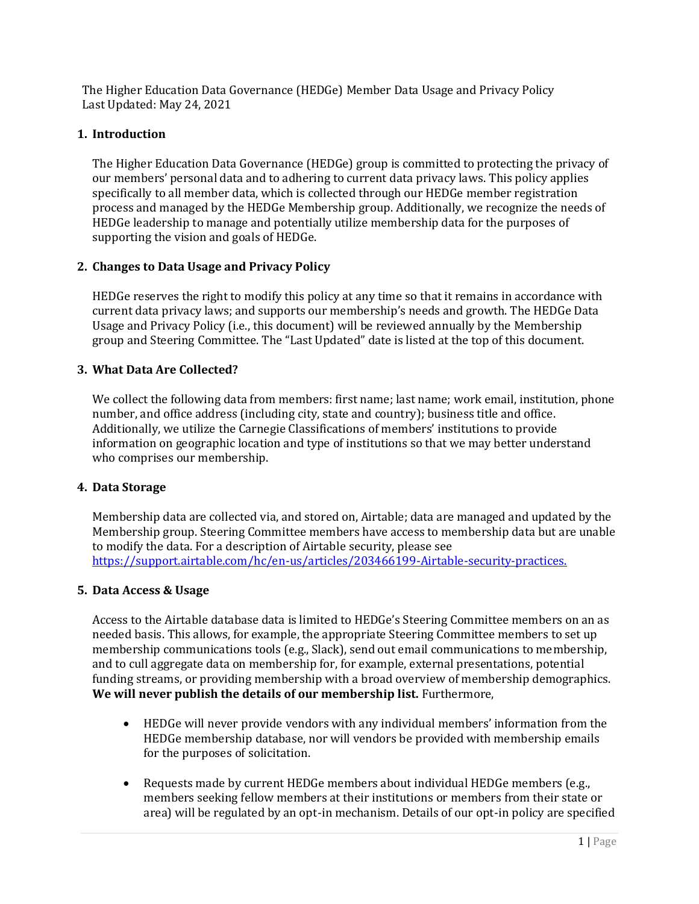The Higher Education Data Governance (HEDGe) Member Data Usage and Privacy Policy Last Updated: May 24, 2021

# **1. Introduction**

The Higher Education Data Governance (HEDGe) group is committed to protecting the privacy of our members' personal data and to adhering to current data privacy laws. This policy applies specifically to all member data, which is collected through our HEDGe member registration process and managed by the HEDGe Membership group. Additionally, we recognize the needs of HEDGe leadership to manage and potentially utilize membership data for the purposes of supporting the vision and goals of HEDGe.

# **2. Changes to Data Usage and Privacy Policy**

HEDGe reserves the right to modify this policy at any time so that it remains in accordance with current data privacy laws; and supports our membership's needs and growth. The HEDGe Data Usage and Privacy Policy (i.e., this document) will be reviewed annually by the Membership group and Steering Committee. The "Last Updated" date is listed at the top of this document.

# **3. What Data Are Collected?**

We collect the following data from members: first name; last name; work email, institution, phone number, and office address (including city, state and country); business title and office. Additionally, we utilize the Carnegie Classifications of members' institutions to provide information on geographic location and type of institutions so that we may better understand who comprises our membership.

### **4. Data Storage**

Membership data are collected via, and stored on, Airtable; data are managed and updated by the Membership group. Steering Committee members have access to membership data but are unable to modify the data. For a description of Airtable security, please see [https://support.airtable.com/hc/en-us/articles/203466199-Airtable-security-practices.](https://support.airtable.com/hc/en-us/articles/203466199-Airtable-security-practices)

### **5. Data Access & Usage**

Access to the Airtable database data is limited to HEDGe's Steering Committee members on an as needed basis. This allows, for example, the appropriate Steering Committee members to set up membership communications tools (e.g., Slack), send out email communications to membership, and to cull aggregate data on membership for, for example, external presentations, potential funding streams, or providing membership with a broad overview of membership demographics. **We will never publish the details of our membership list.** Furthermore,

- HEDGe will never provide vendors with any individual members' information from the HEDGe membership database, nor will vendors be provided with membership emails for the purposes of solicitation.
- Requests made by current HEDGe members about individual HEDGe members (e.g., members seeking fellow members at their institutions or members from their state or area) will be regulated by an opt-in mechanism. Details of our opt-in policy are specified